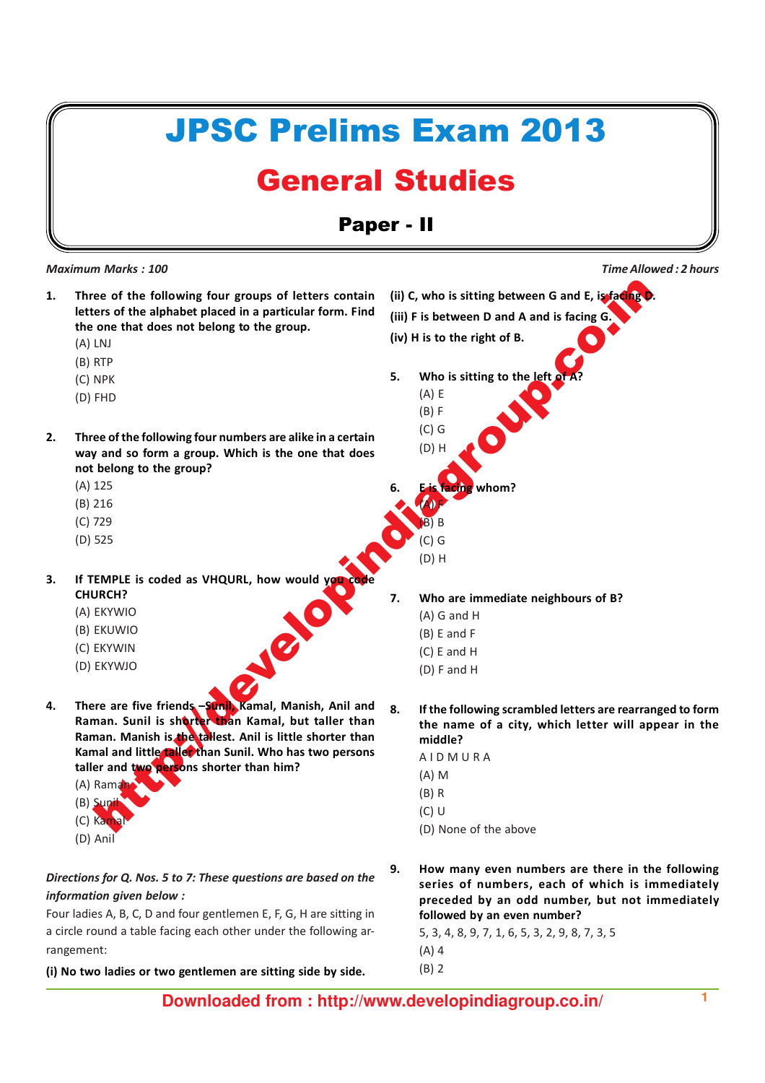# ere of the following four groups of letters contain (ii) c, who is sitting between G and E, ignore the alphabet placed in a particular form. Find<br>one that does not belong to the group.<br>
(iv) H is to the right of B.<br>
(iv) H JPSC Prelims Exam 2013 General Studies Paper - II 1. Three of the following four groups of letters contain letters of the alphabet placed in a particular form. Find the one that does not belong to the group. (A) LNJ (B) RTP (C) NPK (D) FHD 2. Three of the following four numbers are alike in a certain way and so form a group. Which is the one that does not belong to the group? (A) 125 (B) 216 (C) 729 (D) 525 3. If TEMPLE is coded as VHQURL, how would you code CHURCH? (A) EKYWIO (B) EKUWIO (C) EKYWIN (D) EKYWJO Maximum Marks : 100 **Maximum Marks** : 100 **Time Allowed : 2 hours** and the set of the Show Time Allowed : 2 hours (ii) C, who is sitting between G and E, is facing D. (iii) F is between D and A and is facing G. (iv) H is to the right of B. 5. Who is sitting to the left of (A) E (B) F (C) G (D) H  $whom?$ (A) F (B) B  $($  $)$  $G$ (D) H 7. Who are immediate neighbours of B? (A) G and H (B) E and F (C) E and H (D) F and H

- 4. There are five friends -Sunil, Kamal, Manish, Anil and Raman. Sunil is shorter than Kamal, but taller than Raman. Manish is the tallest. Anil is little shorter than Kamal and little taller than Sunil. Who has two persons taller and two persons shorter than him?
	- $(A)$  Rama  $(B)$  Sun
	- $(C)$  Kan
	- (D) Anil

# Directions for Q. Nos. 5 to 7: These questions are based on the information given below :

Four ladies A, B, C, D and four gentlemen E, F, G, H are sitting in a circle round a table facing each other under the following arrangement:

(i) No two ladies or two gentlemen are sitting side by side.

8. If the following scrambled letters are rearranged to form the name of a city, which letter will appear in the middle?

A I D M U R A

- (A) M
- (B) R
- (C) U
- (D) None of the above
- 9. How many even numbers are there in the following series of numbers, each of which is immediately preceded by an odd number, but not immediately followed by an even number?

5, 3, 4, 8, 9, 7, 1, 6, 5, 3, 2, 9, 8, 7, 3, 5 (A) 4

(B) 2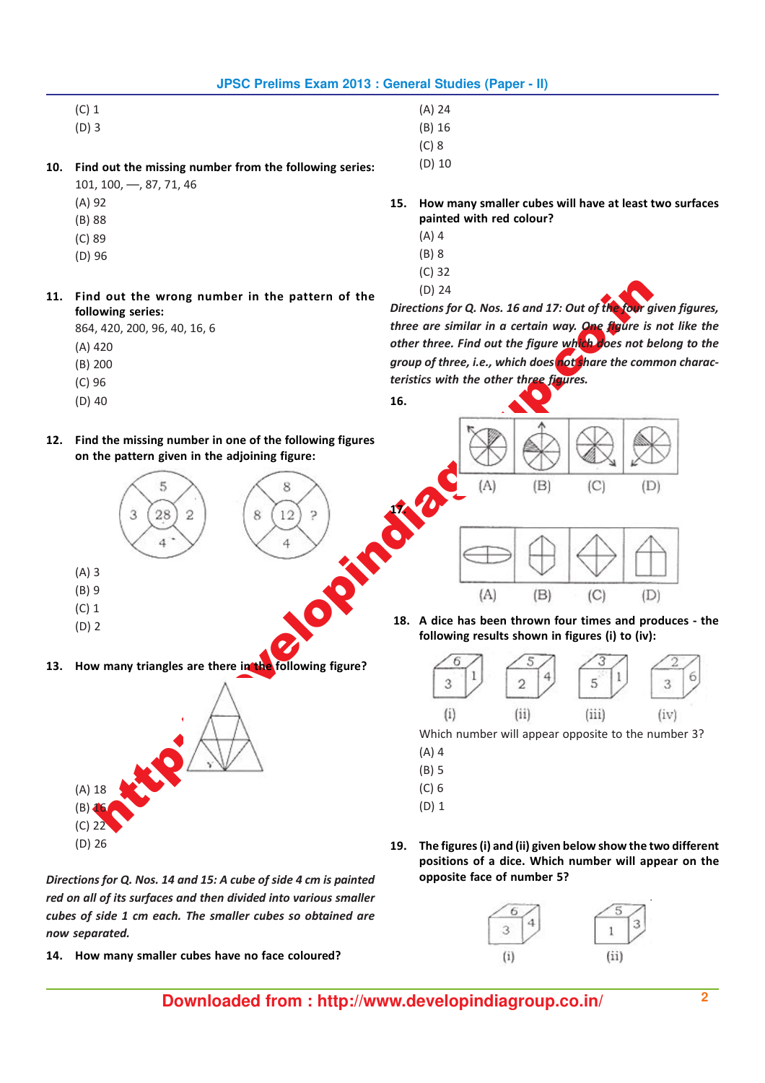- (C) 1
- (D) 3
- 10. Find out the missing number from the following series:
	- 101, 100, ––, 87, 71, 46
	- (A) 92
	- (B) 88
	- (C) 89
	- (D) 96
	-
- 11. Find out the wrong number in the pattern of the following series:

864, 420, 200, 96, 40, 16, 6

- (A) 420
- (B) 200
- (C) 96
- (D) 40

(A) 3 (B) 9 (C) 1 (D) 2

(A) 18  $(B) 16$ (C) 22 (D) 26

- 12. Find the missing number in one of the following figures
	- on the pattern given in the adjoining figure:

13. How many triangles are there in the following figure?

(A) 24

- (B) 16
- (C) 8
- (D) 10

15. How many smaller cubes will have at least two surfaces painted with red colour?

- (A) 4
- (B) 8
- (C) 32
- (D) 24

16.

Directions for Q. Nos. 16 and 17: Out of the four given figures, three are similar in a certain way. One figure is not like the other three. Find out the figure wh<mark>ich d</mark>oes not belong to the group of three, i.e., which does not share the common characteristics with the other three figures.



 18. A dice has been thrown four times and produces - the following results shown in figures (i) to (iv):



Which number will appear opposite to the number 3?

- (A) 4
- (B) 5
- (C) 6
- (D) 1
- 19. The figures (i) and (ii) given below show the two different positions of a dice. Which number will appear on the opposite face of number 5?



- Directions for Q. Nos. 14 and 15: A cube of side 4 cm is painted red on all of its surfaces and then divided into various smaller cubes of side 1 cm each. The smaller cubes so obtained are now separated.
- 14. How many smaller cubes have no face coloured?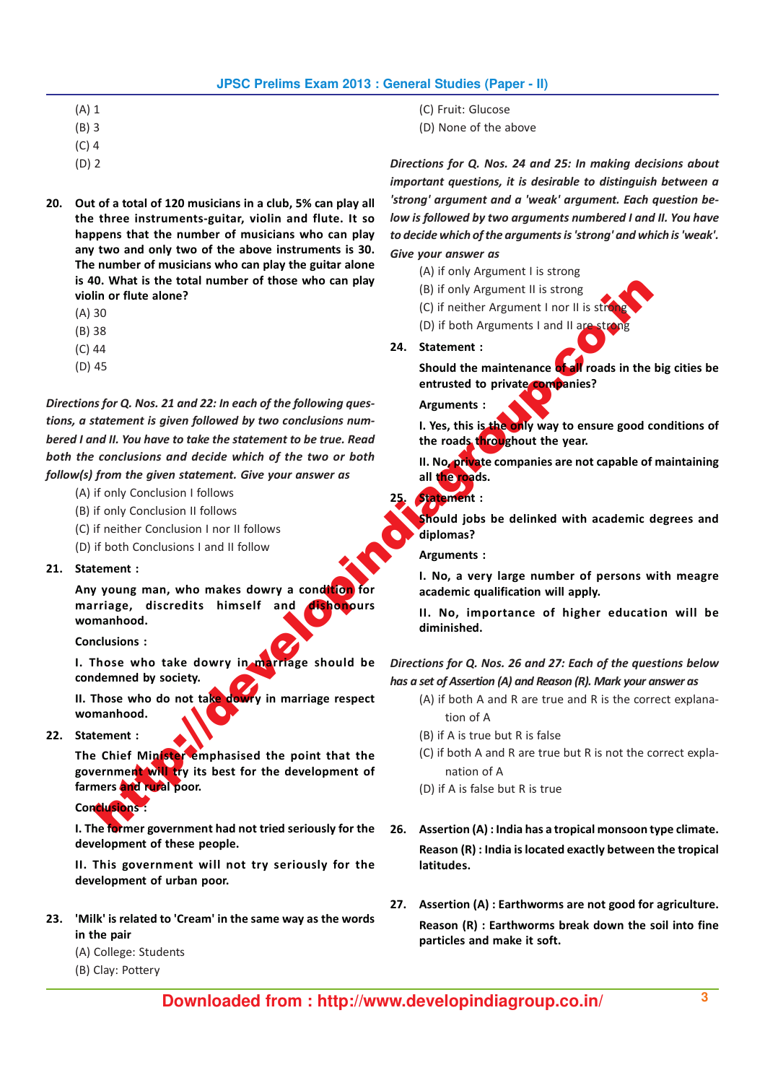- (A) 1
- (B) 3
- (C) 4
- (D) 2
- 20. Out of a total of 120 musicians in a club, 5% can play all the three instruments-guitar, violin and flute. It so happens that the number of musicians who can play any two and only two of the above instruments is 30. The number of musicians who can play the guitar alone is 40. What is the total number of those who can play violin or flute alone?
	- (A) 30
	- (B) 38
	- (C) 44
	- (D) 45

Use the total since the state of the distribution in the state of the state of the state of the state of the state of the state of the state of the state of the state of the state of the state of the state of the state of Directions for Q. Nos. 21 and 22: In each of the following questions, a statement is given followed by two conclusions numbered I and II. You have to take the statement to be true. Read both the conclusions and decide which of the two or both follow(s) from the given statement. Give your answer as

- (A) if only Conclusion I follows
- (B) if only Conclusion II follows
- (C) if neither Conclusion I nor II follows
- (D) if both Conclusions I and II follow

### 21. Statement :

Any young man, who makes dowry a condition for marriage, discredits himself and dishonours womanhood.

Conclusions :

I. Those who take dowry in marriage should be condemned by society.

II. Those who do not take dowry in marriage respect womanhood.

22. Statement :

The Chief Minister emphasised the point that the government will try its best for the development of farmers and rural poor.

# Conclusions :

I. The former government had not tried seriously for the development of these people.

II. This government will not try seriously for the development of urban poor.

- 23. 'Milk' is related to 'Cream' in the same way as the words in the pair
	- (A) College: Students
	- (B) Clay: Pottery
- (C) Fruit: Glucose
- (D) None of the above

Directions for Q. Nos. 24 and 25: In making decisions about important questions, it is desirable to distinguish between a 'strong' argument and a 'weak' argument. Each question below is followed by two arguments numbered I and II. You have to decide which of the arguments is 'strong' and which is 'weak'. Give your answer as

- (A) if only Argument I is strong
- (B) if only Argument II is strong
- (C) if neither Argument I nor II is st
- (D) if both Arguments I and II are str

24. Statement :

Should the maintenance of all roads in the big cities be entrusted to private companies?

Arguments :

I. Yes, this is the only way to ensure good conditions of the roads throughout the year.

II. No, private companies are not capable of maintaining all the roads.

Statement :

Should jobs be delinked with academic degrees and diplomas?

Arguments :

I. No, a very large number of persons with meagre academic qualification will apply.

II. No, importance of higher education will be diminished.

Directions for Q. Nos. 26 and 27: Each of the questions below has a set of Assertion (A) and Reason (R). Mark your answer as

- (A) if both A and R are true and R is the correct explanation of A
- (B) if A is true but R is false
- (C) if both A and R are true but R is not the correct explanation of A
- (D) if A is false but R is true
- 26. Assertion (A) : India has a tropical monsoon type climate. Reason (R) : India is located exactly between the tropical latitudes.
- 27. Assertion (A) : Earthworms are not good for agriculture. Reason (R) : Earthworms break down the soil into fine particles and make it soft.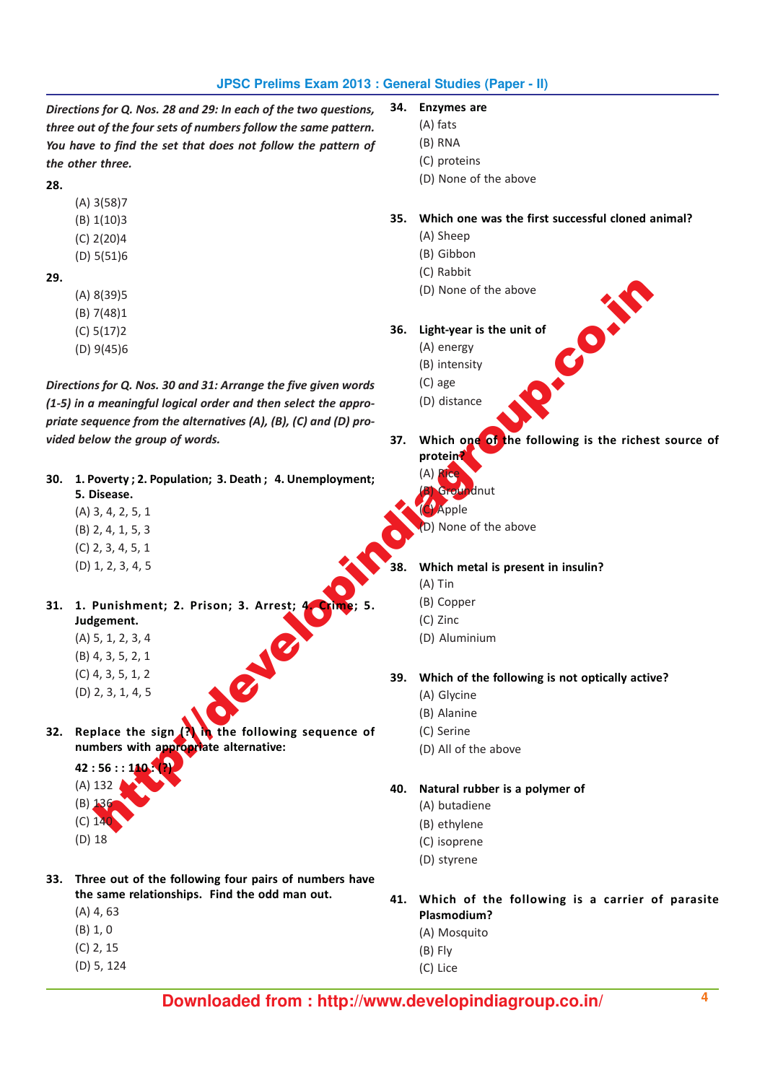Directions for Q. Nos. 28 and 29: In each of the two questions, three out of the four sets of numbers follow the same pattern. You have to find the set that does not follow the pattern of the other three.

28.

(A) 3(58)7

(B) 1(10)3

- (C) 2(20)4
- (D) 5(51)6

29.

- (A) 8(39)5
- (B) 7(48)1
- (C) 5(17)2
- (D) 9(45)6

S(39)5<br>  $(32)$ 5<br>  $(43)$ <br>  $(54)$ <br>  $(54)$ <br>  $(55)$ <br>  $(56)$ <br>  $(60)$ <br>  $(70)$ <br>  $(80)$ <br>  $(80)$ <br>  $(90)$ <br>  $(90)$ <br>  $(90)$ <br>  $(90)$ <br>  $(90)$ <br>  $(90)$ <br>  $(90)$ <br>  $(90)$ <br>  $(90)$ <br>  $(90)$ <br>  $(90)$ <br>  $(90)$ <br>  $(90)$ <br>  $(90)$ <br>  $(90)$ <br>  $(90)$ <br>  $(90$ Directions for Q. Nos. 30 and 31: Arrange the five given words (1-5) in a meaningful logical order and then select the appropriate sequence from the alternatives (A), (B), (C) and (D) provided below the group of words.

- 30. 1. Poverty ; 2. Population; 3. Death ; 4. Unemployment; 5. Disease.
	- (A) 3, 4, 2, 5, 1
	- (B) 2, 4, 1, 5, 3
	- (C) 2, 3, 4, 5, 1
	- (D) 1, 2, 3, 4, 5
- 31. 1. Punishment; 2. Prison; 3. Arrest; Judgement.
	- (A) 5, 1, 2, 3, 4
	- (B) 4, 3, 5, 2, 1
	- (C) 4, 3, 5, 1, 2
	- (D) 2, 3, 1, 4, 5
- 32. Replace the sign  $\binom{3}{1}$  in the following sequence of numbers with appropriate alternative:

 $42:56::$ (A) 132 (B) 136 (C) 140

- (D) 18
- 33. Three out of the following four pairs of numbers have the same relationships. Find the odd man out.
	- (A) 4, 63
	- (B) 1, 0
	- (C) 2, 15
- - (D) 5, 124
- 34. Enzymes are
	- (A) fats
	- (B) RNA
	- (C) proteins
	- (D) None of the above

# 35. Which one was the first successful cloned animal?

- (A) Sheep
- (B) Gibbon
- (C) Rabbit
- (D) None of the above
- 36. Light-year is the unit of
	- (A) energy
	- (B) intensity
	- (C) age
	- (D) distance
- 37. Which one of the following is the richest source of protein?
	- (A)

 $nn$ 

D) None of the above

nut

### Which metal is present in insulin?

- (A) Tin
- (B) Copper
- (C) Zinc
- (D) Aluminium

# 39. Which of the following is not optically active?

- (A) Glycine
- (B) Alanine
- (C) Serine
- (D) All of the above

40. Natural rubber is a polymer of

- (A) butadiene
- (B) ethylene
- (C) isoprene
- (D) styrene
- 41. Which of the following is a carrier of parasite Plasmodium?
	- (A) Mosquito
	- (B) Fly
	- (C) Lice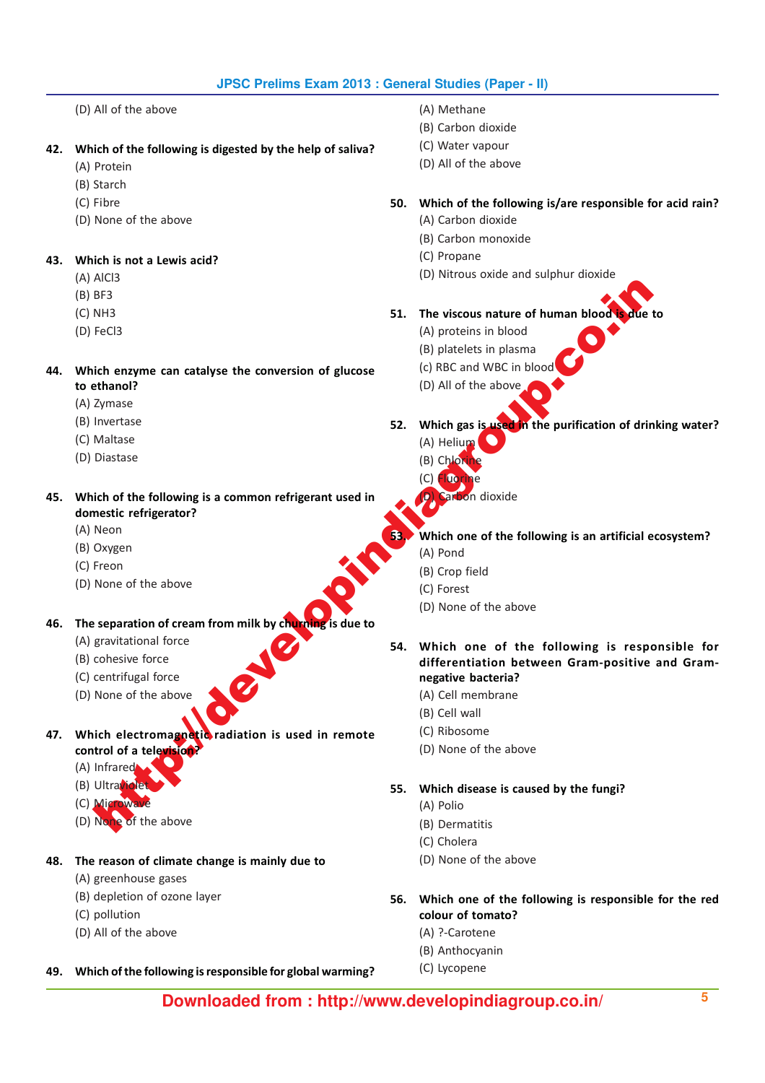- (D) All of the above
- 42. Which of the following is digested by the help of saliva?
	- (A) Protein
	- (B) Starch
	- (C) Fibre
	- (D) None of the above

# 43. Which is not a Lewis acid?

- (A) AlCl3
- (B) BF3
- (C) NH3
- (D) FeCl3
- 44. Which enzyme can catalyse the conversion of glucose to ethanol?
	- (A) Zymase
	- (B) Invertase
	- (C) Maltase
	- (D) Diastase

45. Which of the following is a common refrigerant used in domestic refrigerator?

- (A) Neon
- (B) Oxygen
- (C) Freon
- (D) None of the above
- 46. The separation of cream from milk by churning is due to
	- (A) gravitational force
	- (B) cohesive force
	- (C) centrifugal force
	- (D) None of the above
- 47. Which electromagnetic radiation is used in remote control of a television?
	- (A) Infrared
	- $(B)$  Ultrav
	- $(C)$  Mic
	- (D) None of the above

# 48. The reason of climate change is mainly due to

- (A) greenhouse gases
- (B) depletion of ozone layer
- (C) pollution
- (D) All of the above

### 49. Which of the following is responsible for global warming?

- (A) Methane
- (B) Carbon dioxide
- (C) Water vapour
- (D) All of the above

# 50. Which of the following is/are responsible for acid rain?

- (A) Carbon dioxide
- (B) Carbon monoxide
- (C) Propane
- (D) Nitrous oxide and sulphur dioxide
- 51. The viscous nature of human blood
	- (A) proteins in blood
	- (B) platelets in plasma
	- (c) RBC and WBC in blood
	- (D) All of the above
- 52. Which gas is used in the purification of drinking water?
	- (A) Helium  $(B)$  Ch
	- (C) Fluorine
		- n dioxide
	- Which one of the following is an artificial ecosystem?
		- (A) Pond
		- (B) Crop field
		- (C) Forest
		- (D) None of the above
- New York (S) Distribution of the above<br>
Net above<br>
Sixthe any me can catalyse the conversion of glucose<br>
FeCi3<br>
in enzymes can catalyse the conversion of glucose<br>
(A) predicts in blood<br>
(B) and of the above<br>
Matasse<br>
Matas 54. Which one of the following is responsible for differentiation between Gram-positive and Gramnegative bacteria?
	- (A) Cell membrane
	- (B) Cell wall
	- (C) Ribosome
	- (D) None of the above

55. Which disease is caused by the fungi?

- (A) Polio
	- (B) Dermatitis
	- (C) Cholera
	- (D) None of the above
- 56. Which one of the following is responsible for the red colour of tomato?
	- (A) ?-Carotene
	- (B) Anthocyanin
	- (C) Lycopene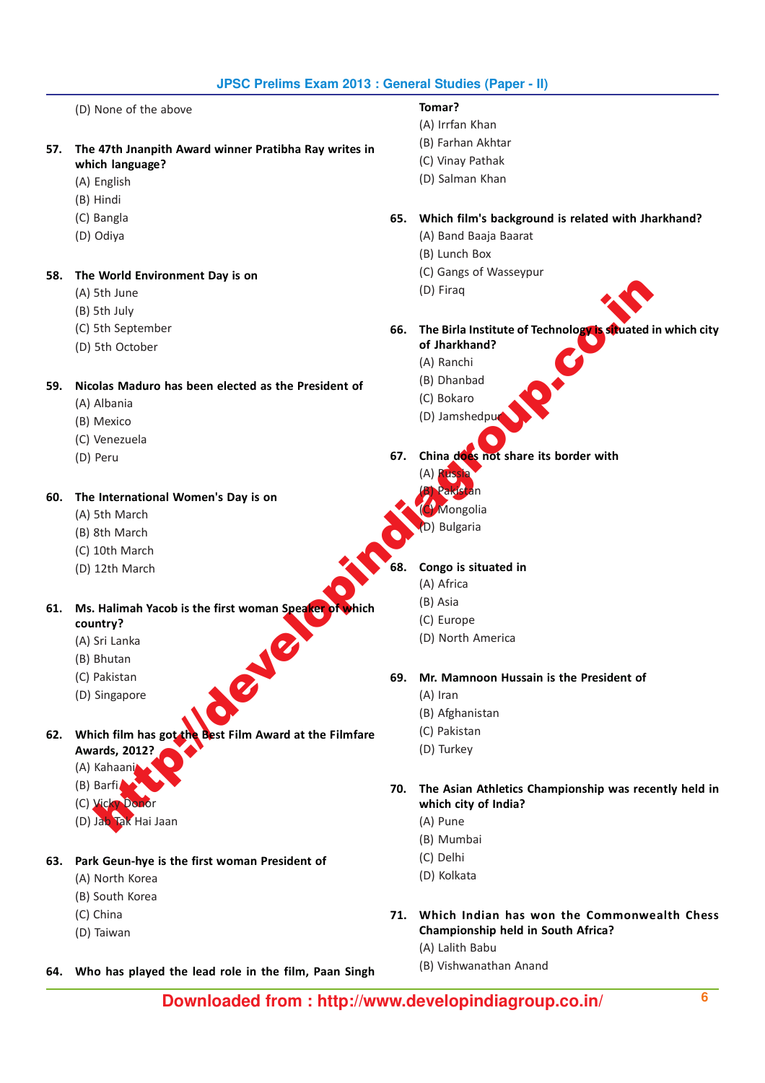(D) None of the above

- 57. The 47th Jnanpith Award winner Pratibha Ray writes in which language?
	- (A) English
	- (B) Hindi
	- (C) Bangla
	- (D) Odiya

58. The World Environment Day is on

- (A) 5th June
- (B) 5th July
- (C) 5th September
- (D) 5th October

59. Nicolas Maduro has been elected as the President of

- (A) Albania
- (B) Mexico
- (C) Venezuela
- (D) Peru

### 60. The International Women's Day is on

- (A) 5th March
- (B) 8th March
- (C) 10th March
- (D) 12th March

# Final Studies<br>
Sthaulte of Technology<br>
Sthaulte of Technology<br>
Sthaulte of Technology<br>
Sthaulte of Technology<br>
Sthaulte of Technology<br>
Sthaulte of Technology<br>
Venezuela<br>
Mexico<br>
Mexico<br>
Mexico<br>
Mexico<br>
Mexico<br>
Mexico<br>
Mexi 61. Ms. Halimah Yacob is the first woman Speaker of which country?

- (A) Sri Lanka
- (B) Bhutan
- (C) Pakistan
- (D) Singapore
- 62. Which film has got the Best Film Award at the Filmfare
	- Awards, 2012?
		- (A) Kahaani
		- (B) Barfi
		- (C) Vicky Do
		- (D) Jab Tak Hai Jaan

### 63. Park Geun-hye is the first woman President of

- (A) North Korea
- (B) South Korea
- (C) China
- (D) Taiwan

### 64. Who has played the lead role in the film, Paan Singh

- Tomar?
- (A) Irrfan Khan
- (B) Farhan Akhtar
- (C) Vinay Pathak
- (D) Salman Khan

### 65. Which film's background is related with Jharkhand?

- (A) Band Baaja Baarat
- (B) Lunch Box
- (C) Gangs of Wasseypur
- (D) Firaq
- 66. The Birla Institute of Technology is situated in which city
	- of Jharkhand? (A) Ranchi
	-
	- (B) Dhanbad (C) Bokaro
	-
	- (D) Jamshedpu
- 67. China does not share its border with
	- (A) Russia
	- (B) Pakistan nøolia
	-
	- **Bulgaria**

### Congo is situated in

- (A) Africa
- (B) Asia
- (C) Europe
- (D) North America

### 69. Mr. Mamnoon Hussain is the President of

- (A) Iran
- (B) Afghanistan
- (C) Pakistan
- (D) Turkey

70. The Asian Athletics Championship was recently held in which city of India?

- (A) Pune
- (B) Mumbai
- (C) Delhi
- (D) Kolkata
- 71. Which Indian has won the Commonwealth Chess Championship held in South Africa?
	- (A) Lalith Babu
	- (B) Vishwanathan Anand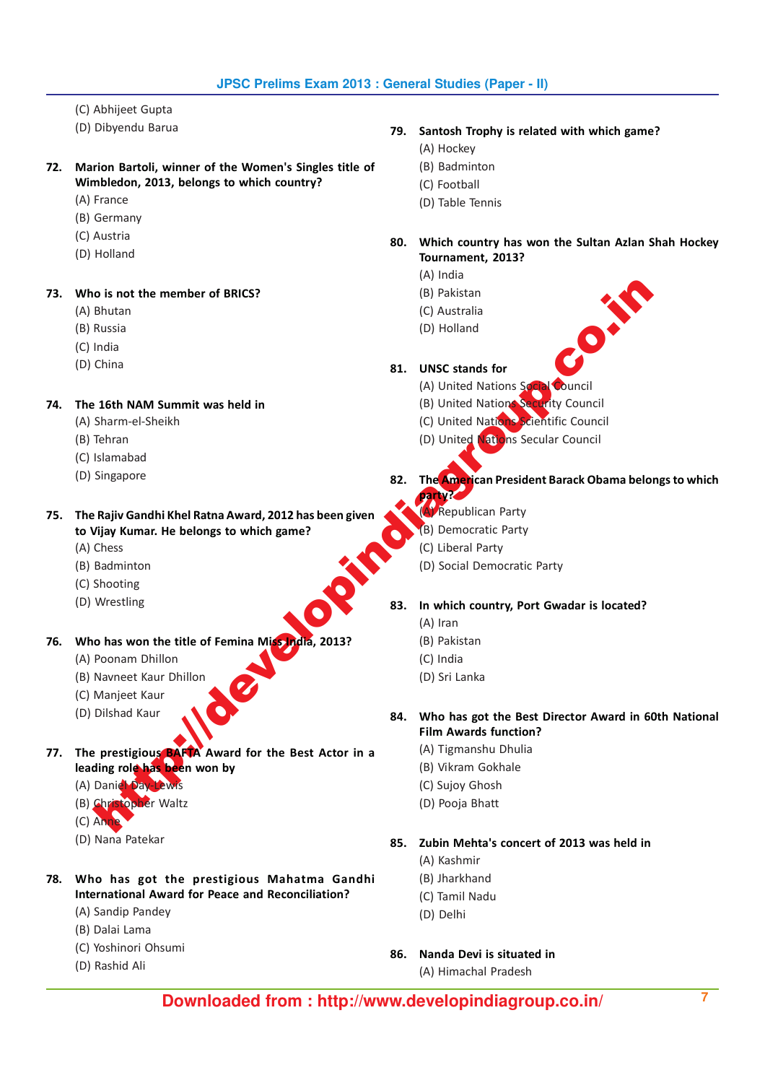- (C) Abhijeet Gupta
- (D) Dibyendu Barua
- 72. Marion Bartoli, winner of the Women's Singles title of Wimbledon, 2013, belongs to which country?
	- (A) France
	- (B) Germany
	- (C) Austria
	- (D) Holland

73. Who is not the member of BRICS?

- (A) Bhutan
- (B) Russia
- (C) India
- (D) China

74. The 16th NAM Summit was held in

- (A) Sharm-el-Sheikh
- (B) Tehran
- (C) Islamabad
- (D) Singapore

75. The Rajiv Gandhi Khel Ratna Award, 2012 has been given to Vijay Kumar. He belongs to which game?

- (A) Chess
- (B) Badminton
- (C) Shooting
- (D) Wrestling
- 76. Who has won the title of Femina Miss India, 2013?
	- (A) Poonam Dhillon
	- (B) Navneet Kaur Dhillon
	- (C) Manjeet Kaur
	- (D) Dilshad Kaur
- o is not the member of BRIGS?<br>
Shutan<br>
Russia<br>
Russia<br>
Russia<br>
Contained Contained (C) Australia<br>
Sharmel-Sheikh<br>
MM Summit was held in<br>
Sharmel-Sheikh<br>
MM Summit was held in<br>
Sharmel-Sheikh<br>
Sharmel-Sheikh<br>
Sharmel-Sheikh 77. The prestigious BAFTA Award for the Best Actor in a leading role has been won by
	- (A) Daniel Day-Lewis
	- (B) Christopher Waltz
	- (C) Anne
	- (D) Nana Patekar
- 78. Who has got the prestigious Mahatma Gandhi International Award for Peace and Reconciliation?
	- (A) Sandip Pandey
	- (B) Dalai Lama
	- (C) Yoshinori Ohsumi
	- (D) Rashid Ali
- 79. Santosh Trophy is related with which game?
	- (A) Hockey
	- (B) Badminton
	- (C) Football
	- (D) Table Tennis
- 80. Which country has won the Sultan Azlan Shah Hockey Tournament, 2013?
	- (A) India
	- (B) Pakistan
	- (C) Australia
	- (D) Holland
	-

## 81. UNSC stands for

- (A) United Nations Social Council
- (B) United Nations Security Council
- (C) United Nations Scientific Council
- (D) United Nations Secular Council
- 82. The American President Barack Obama belongs to which
	- party? (A) Republican Party
	- (B) Democratic Party
	- (C) Liberal Party
	- (D) Social Democratic Party
- 83. In which country, Port Gwadar is located?
	- (A) Iran
		- (B) Pakistan
		- (C) India
		- (D) Sri Lanka
- 84. Who has got the Best Director Award in 60th National Film Awards function?
	- (A) Tigmanshu Dhulia
	- (B) Vikram Gokhale
	- (C) Sujoy Ghosh
	- (D) Pooja Bhatt

85. Zubin Mehta's concert of 2013 was held in

- (A) Kashmir
- (B) Jharkhand
- (C) Tamil Nadu
- (D) Delhi
- 86. Nanda Devi is situated in
	- (A) Himachal Pradesh